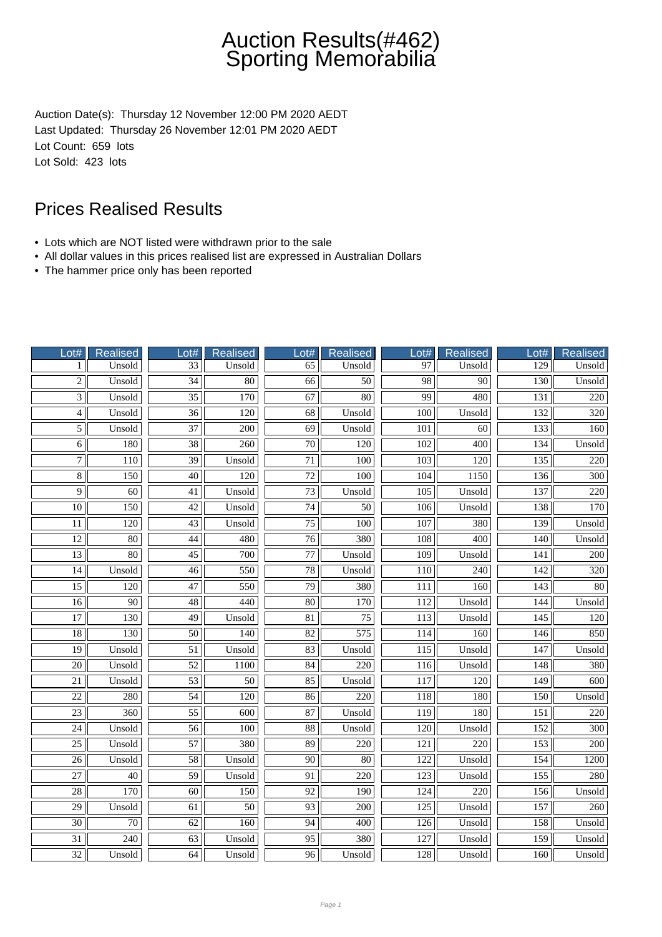Auction Date(s): Thursday 12 November 12:00 PM 2020 AEDT Last Updated: Thursday 26 November 12:01 PM 2020 AEDT Lot Count: 659 lots Lot Sold: 423 lots

- Lots which are NOT listed were withdrawn prior to the sale
- All dollar values in this prices realised list are expressed in Australian Dollars
- The hammer price only has been reported

| Lot#            | Realised         | Lot#            | <b>Realised</b>  | Lot#            | <b>Realised</b>  | Lot#             | Realised         | Lot#             | Realised         |
|-----------------|------------------|-----------------|------------------|-----------------|------------------|------------------|------------------|------------------|------------------|
| 1               | Unsold           | $\overline{33}$ | Unsold           | 65              | Unsold           | 97               | Unsold           | 129              | Unsold           |
| $\overline{2}$  | Unsold           | $\overline{34}$ | $\overline{80}$  | $\overline{66}$ | $\overline{50}$  | $\overline{98}$  | $\overline{90}$  | 130              | Unsold           |
| $\overline{3}$  | Unsold           | $\overline{35}$ | 170              | 67              | 80               | 99               | 480              | 131              | 220              |
| $\overline{4}$  | Unsold           | $\overline{36}$ | 120              | $\overline{68}$ | Unsold           | 100              | Unsold           | 132              | 320              |
| $\overline{5}$  | Unsold           | 37              | 200              | 69              | Unsold           | 101              | 60               | 133              | 160              |
| $\overline{6}$  | 180              | $\overline{38}$ | 260              | $\overline{70}$ | $\overline{120}$ | $\overline{102}$ | 400              | 134              | Unsold           |
| $\overline{7}$  | 110              | 39              | Unsold           | $\overline{71}$ | 100              | 103              | 120              | 135              | 220              |
| $\overline{8}$  | 150              | $\overline{40}$ | $\overline{120}$ | $\overline{72}$ | 100              | 104              | 1150             | 136              | $\overline{300}$ |
| $\overline{9}$  | 60               | 41              | Unsold           | 73              | Unsold           | 105              | Unsold           | 137              | 220              |
| 10              | 150              | 42              | Unsold           | 74              | 50               | 106              | Unsold           | 138              | 170              |
| 11              | 120              | 43              | Unsold           | 75              | 100              | 107              | 380              | 139              | Unsold           |
| $\overline{12}$ | $\overline{80}$  | $\overline{44}$ | 480              | $\overline{76}$ | 380              | 108              | $\overline{400}$ | 140              | Unsold           |
| $\overline{13}$ | $\overline{80}$  | $\overline{45}$ | 700              | $\overline{77}$ | Unsold           | $\overline{109}$ | Unsold           | 141              | 200              |
| 14              | Unsold           | $\overline{46}$ | 550              | 78              | Unsold           | 110              | $\overline{240}$ | 142              | 320              |
| $\overline{15}$ | 120              | $\overline{47}$ | 550              | $\overline{79}$ | 380              | 111              | 160              | $\overline{143}$ | 80               |
| 16              | 90               | 48              | 440              | $\overline{80}$ | 170              | 112              | Unsold           | 144              | Unsold           |
| $\overline{17}$ | $\overline{130}$ | $\overline{49}$ | Unsold           | $\overline{81}$ | $\overline{75}$  | $\overline{113}$ | Unsold           | $\overline{145}$ | 120              |
| $\overline{18}$ | 130              | 50              | 140              | $\overline{82}$ | 575              | 114              | 160              | 146              | 850              |
| $\overline{19}$ | Unsold           | $\overline{51}$ | Unsold           | 83              | Unsold           | $\overline{115}$ | Unsold           | $\overline{147}$ | Unsold           |
| $\overline{20}$ | Unsold           | 52              | 1100             | 84              | 220              | 116              | Unsold           | 148              | 380              |
| 21              | Unsold           | 53              | 50               | 85              | Unsold           | 117              | 120              | 149              | 600              |
| $\overline{22}$ | 280              | $\overline{54}$ | $\overline{120}$ | 86              | $\overline{220}$ | 118              | 180              | 150              | Unsold           |
| $\overline{23}$ | $\overline{360}$ | $\overline{55}$ | $\overline{600}$ | $\overline{87}$ | Unsold           | $\overline{119}$ | 180              | 151              | 220              |
| $\overline{24}$ | Unsold           | $\overline{56}$ | 100              | $\overline{88}$ | Unsold           | $\overline{120}$ | Unsold           | 152              | $\overline{300}$ |
| $\overline{25}$ | Unsold           | 57              | 380              | 89              | 220              | 121              | 220              | 153              | 200              |
| $\overline{26}$ | Unsold           | $\overline{58}$ | Unsold           | $\overline{90}$ | 80               | 122              | Unsold           | 154              | 1200             |
| $\overline{27}$ | 40               | 59              | Unsold           | 91              | 220              | 123              | Unsold           | 155              | 280              |
| $\overline{28}$ | $\overline{170}$ | $\overline{60}$ | $\overline{150}$ | $\overline{92}$ | 190              | $\overline{124}$ | $\overline{220}$ | 156              | Unsold           |
| 29              | Unsold           | 61              | $\overline{50}$  | 93              | 200              | 125              | Unsold           | 157              | 260              |
| $\overline{30}$ | 70               | 62              | 160              | $\overline{94}$ | 400              | 126              | Unsold           | 158              | Unsold           |
| $\overline{31}$ | 240              | 63              | Unsold           | 95              | 380              | 127              | Unsold           | 159              | Unsold           |
| $\overline{32}$ | Unsold           | 64              | Unsold           | 96              | Unsold           | 128              | Unsold           | 160              | Unsold           |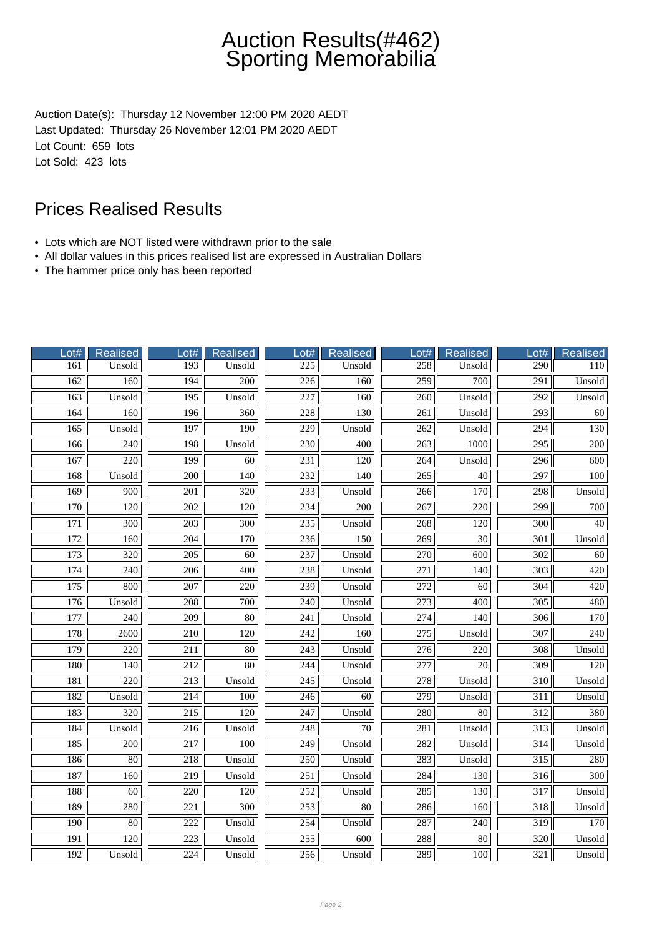Auction Date(s): Thursday 12 November 12:00 PM 2020 AEDT Last Updated: Thursday 26 November 12:01 PM 2020 AEDT Lot Count: 659 lots Lot Sold: 423 lots

- Lots which are NOT listed were withdrawn prior to the sale
- All dollar values in this prices realised list are expressed in Australian Dollars
- The hammer price only has been reported

| Lot#             | <b>Realised</b>  | Lot#             | <b>Realised</b>  | Lot#             | Realised        | Lot#             | <b>Realised</b>  | Lot#             | <b>Realised</b>  |
|------------------|------------------|------------------|------------------|------------------|-----------------|------------------|------------------|------------------|------------------|
| 161              | Unsold           | $\overline{193}$ | Unsold           | 225              | Unsold          | 258              | Unsold           | 290              | 110              |
| 162              | 160              | 194              | 200              | $\overline{226}$ | 160             | 259              | 700              | $\overline{291}$ | Unsold           |
| 163              | Unsold           | 195              | Unsold           | 227              | 160             | 260              | Unsold           | 292              | Unsold           |
| 164              | 160              | 196              | 360              | 228              | 130             | 261              | Unsold           | 293              | 60               |
| 165              | Unsold           | 197              | 190              | 229              | Unsold          | 262              | Unsold           | 294              | 130              |
| 166              | 240              | 198              | Unsold           | 230              | 400             | 263              | 1000             | $\overline{295}$ | 200              |
| 167              | $\overline{220}$ | 199              | $\overline{60}$  | $\overline{231}$ | 120             | $\overline{264}$ | Unsold           | $\overline{296}$ | 600              |
| 168              | Unsold           | 200              | $\overline{140}$ | 232              | 140             | 265              | 40               | $\overline{297}$ | $\overline{100}$ |
| 169              | 900              | 201              | 320              | 233              | Unsold          | 266              | 170              | 298              | Unsold           |
| 170              | 120              | 202              | 120              | 234              | 200             | 267              | 220              | 299              | 700              |
| 171              | 300              | 203              | 300              | 235              | Unsold          | 268              | 120              | 300              | 40               |
| $\overline{172}$ | $\overline{160}$ | $\overline{204}$ | 170              | 236              | 150             | 269              | $\overline{30}$  | $\overline{301}$ | Unsold           |
| 173              | 320              | $\overline{205}$ | 60               | 237              | Unsold          | $\overline{270}$ | 600              | $\overline{302}$ | 60               |
| 174              | 240              | 206              | 400              | 238              | Unsold          | 271              | 140              | $\overline{303}$ | 420              |
| 175              | 800              | $\overline{207}$ | 220              | 239              | Unsold          | $\overline{272}$ | $\overline{60}$  | 304              | 420              |
| 176              | Unsold           | 208              | 700              | 240              | Unsold          | 273              | 400              | 305              | 480              |
| 177              | 240              | $\overline{209}$ | $\overline{80}$  | 241              | Unsold          | $\overline{274}$ | 140              | 306              | 170              |
| 178              | 2600             | $\overline{210}$ | $\overline{120}$ | 242              | 160             | $\overline{275}$ | Unsold           | 307              | 240              |
| 179              | $\overline{220}$ | $\overline{211}$ | 80               | $\overline{243}$ | Unsold          | $\overline{276}$ | $\overline{220}$ | 308              | Unsold           |
| 180              | 140              | 212              | 80               | 244              | Unsold          | 277              | $\overline{20}$  | 309              | 120              |
| 181              | 220              | 213              | Unsold           | 245              | Unsold          | 278              | Unsold           | 310              | Unsold           |
| 182              | Unsold           | $\overline{214}$ | $\overline{100}$ | 246              | 60              | $\overline{279}$ | Unsold           | $\overline{311}$ | Unsold           |
| 183              | $\overline{320}$ | 215              | $\overline{120}$ | $\overline{247}$ | Unsold          | 280              | 80               | $\overline{312}$ | 380              |
| 184              | Unsold           | $\overline{216}$ | Unsold           | 248              | $\overline{70}$ | 281              | Unsold           | $\overline{313}$ | Unsold           |
| 185              | 200              | 217              | 100              | 249              | Unsold          | 282              | Unsold           | 314              | Unsold           |
| 186              | 80               | 218              | Unsold           | 250              | Unsold          | 283              | Unsold           | $\overline{315}$ | 280              |
| 187              | 160              | 219              | Unsold           | 251              | Unsold          | 284              | 130              | 316              | $\overline{300}$ |
| 188              | 60               | 220              | 120              | $\overline{252}$ | Unsold          | $\overline{285}$ | 130              | $\overline{317}$ | Unsold           |
| 189              | 280              | $\overline{221}$ | $\overline{300}$ | $\overline{253}$ | $\overline{80}$ | 286              | 160              | 318              | Unsold           |
| 190              | 80               | 222              | Unsold           | 254              | Unsold          | 287              | 240              | 319              | 170              |
| 191              | 120              | 223              | Unsold           | 255              | 600             | 288              | 80               | 320              | Unsold           |
| 192              | Unsold           | 224              | Unsold           | 256              | Unsold          | 289              | 100              | 321              | Unsold           |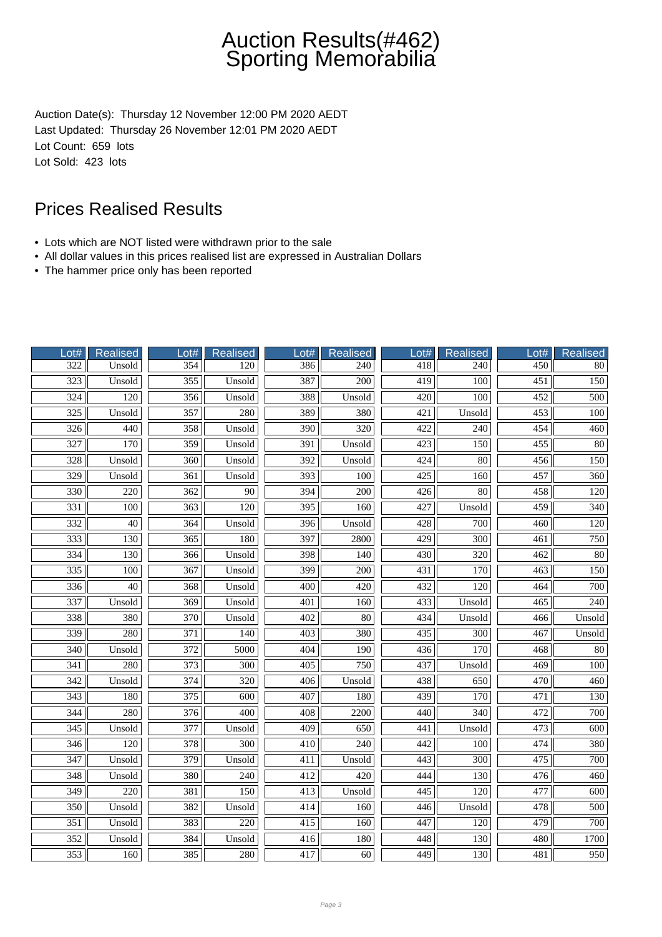Auction Date(s): Thursday 12 November 12:00 PM 2020 AEDT Last Updated: Thursday 26 November 12:01 PM 2020 AEDT Lot Count: 659 lots Lot Sold: 423 lots

- Lots which are NOT listed were withdrawn prior to the sale
- All dollar values in this prices realised list are expressed in Australian Dollars
- The hammer price only has been reported

| Lot#             | Realised         | Lot#             | <b>Realised</b>  | $_0$ ot#         | <b>Realised</b>  | $_0$ ot# | Realised         | Lot#             | <b>Realised</b>  |
|------------------|------------------|------------------|------------------|------------------|------------------|----------|------------------|------------------|------------------|
| 322              | Unsold           | 354              | 120              | 386              | 240              | 418      | 240              | $\overline{450}$ | 80               |
| 323              | Unsold           | 355              | Unsold           | 387              | $\overline{200}$ | 419      | $\overline{100}$ | $\overline{451}$ | 150              |
| $\overline{324}$ | 120              | 356              | Unsold           | 388              | Unsold           | 420      | 100              | 452              | 500              |
| $\overline{325}$ | Unsold           | 357              | 280              | 389              | 380              | 421      | Unsold           | 453              | 100              |
| 326              | 440              | 358              | Unsold           | 390              | 320              | 422      | 240              | 454              | 460              |
| $\overline{327}$ | $\overline{170}$ | 359              | Unsold           | $\overline{391}$ | Unsold           | 423      | 150              | 455              | $\overline{80}$  |
| 328              | Unsold           | 360              | Unsold           | 392              | Unsold           | 424      | $80\,$           | 456              | 150              |
| $\overline{329}$ | Unsold           | $\overline{361}$ | Unsold           | $\overline{393}$ | 100              | 425      | 160              | 457              | $\overline{360}$ |
| 330              | 220              | 362              | 90               | 394              | 200              | 426      | 80               | 458              | 120              |
| 331              | 100              | 363              | 120              | 395              | 160              | 427      | Unsold           | 459              | 340              |
| 332              | 40               | 364              | Unsold           | 396              | Unsold           | 428      | 700              | 460              | 120              |
| $\overline{333}$ | $\overline{130}$ | 365              | 180              | $\overline{397}$ | 2800             | 429      | $\overline{300}$ | $\overline{461}$ | 750              |
| 334              | 130              | 366              | Unsold           | 398              | 140              | 430      | 320              | $\overline{462}$ | $\overline{80}$  |
| 335              | 100              | 367              | Unsold           | 399              | 200              | 431      | 170              | 463              | 150              |
| 336              | $\overline{40}$  | 368              | Unsold           | 400              | 420              | 432      | 120              | 464              | 700              |
| 337              | Unsold           | 369              | Unsold           | 401              | 160              | 433      | Unsold           | 465              | 240              |
| 338              | 380              | $\overline{370}$ | Unsold           | 402              | $\overline{80}$  | 434      | Unsold           | 466              | Unsold           |
| 339              | 280              | 371              | 140              | 403              | 380              | 435      | 300              | 467              | Unsold           |
| $\overline{340}$ | Unsold           | 372              | 5000             | 404              | 190              | 436      | 170              | 468              | $\overline{80}$  |
| $\overline{341}$ | 280              | 373              | 300              | 405              | 750              | 437      | Unsold           | 469              | 100              |
| 342              | Unsold           | 374              | 320              | 406              | Unsold           | 438      | 650              | 470              | 460              |
| 343              | 180              | 375              | 600              | 407              | 180              | 439      | 170              | 471              | 130              |
| $\overline{344}$ | 280              | $\overline{376}$ | $\overline{400}$ | 408              | 2200             | 440      | $\overline{340}$ | 472              | $\overline{700}$ |
| $\frac{345}{ }$  | Unsold           | $\overline{377}$ | Unsold           | 409              | 650              | 441      | Unsold           | 473              | 600              |
| 346              | 120              | 378              | 300              | 410              | 240              | 442      | 100              | 474              | 380              |
| 347              | Unsold           | 379              | Unsold           | 411              | Unsold           | 443      | 300              | 475              | 700              |
| 348              | Unsold           | 380              | 240              | 412              | 420              | 444      | 130              | 476              | 460              |
| $\overline{349}$ | $\overline{220}$ | 381              | $\overline{150}$ | 413              | Unsold           | 445      | 120              | 477              | 600              |
| 350              | Unsold           | 382              | Unsold           | 414              | 160              | 446      | Unsold           | 478              | 500              |
| $\overline{351}$ | Unsold           | 383              | 220              | 415              | 160              | 447      | 120              | 479              | 700              |
| 352              | Unsold           | 384              | Unsold           | 416              | 180              | 448      | 130              | 480              | 1700             |
| 353              | 160              | 385              | 280              | 417              | 60               | 449      | 130              | 481              | 950              |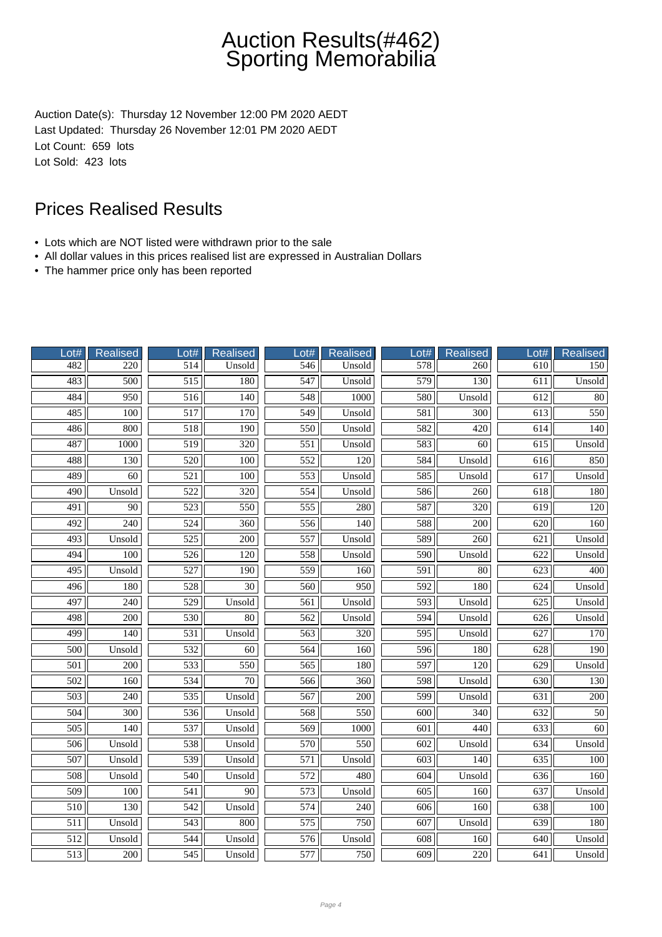Auction Date(s): Thursday 12 November 12:00 PM 2020 AEDT Last Updated: Thursday 26 November 12:01 PM 2020 AEDT Lot Count: 659 lots Lot Sold: 423 lots

- Lots which are NOT listed were withdrawn prior to the sale
- All dollar values in this prices realised list are expressed in Australian Dollars
- The hammer price only has been reported

| Lot#             | <b>Realised</b>  | Lot#             | <b>Realised</b>  | Lot#             | <b>Realised</b>  | Lot#             | <b>Realised</b>  | Lot#             | <b>Realised</b> |
|------------------|------------------|------------------|------------------|------------------|------------------|------------------|------------------|------------------|-----------------|
| 482              | 220              | 514              | Unsold           | 546              | Unsold           | 578              | 260              | 610              | 150             |
| 483              | 500              | $\overline{515}$ | 180              | $\overline{547}$ | Unsold           | 579              | 130              | 611              | Unsold          |
| 484              | 950              | 516              | 140              | 548              | 1000             | 580              | Unsold           | 612              | 80              |
| 485              | 100              | 517              | 170              | 549              | Unsold           | 581              | 300              | 613              | 550             |
| 486              | 800              | 518              | 190              | 550              | Unsold           | 582              | 420              | 614              | 140             |
| 487              | 1000             | 519              | 320              | 551              | Unsold           | 583              | 60               | 615              | Unsold          |
| 488              | $\overline{130}$ | $\overline{520}$ | $\overline{100}$ | 552              | $\overline{120}$ | 584              | Unsold           | 616              | 850             |
| 489              | 60               | 521              | 100              | 553              | Unsold           | 585              | Unsold           | 617              | Unsold          |
| 490              | Unsold           | 522              | 320              | 554              | Unsold           | 586              | 260              | 618              | 180             |
| 491              | 90               | 523              | 550              | 555              | 280              | 587              | 320              | 619              | 120             |
| 492              | 240              | 524              | 360              | 556              | 140              | 588              | 200              | 620              | 160             |
| $\overline{493}$ | Unsold           | $\overline{525}$ | $\overline{200}$ | 557              | Unsold           | 589              | $\overline{260}$ | 621              | Unsold          |
| 494              | 100              | 526              | 120              | 558              | Unsold           | 590              | Unsold           | 622              | Unsold          |
| 495              | Unsold           | 527              | 190              | 559              | 160              | 591              | 80               | 623              | 400             |
| 496              | 180              | 528              | $\overline{30}$  | 560              | 950              | 592              | 180              | 624              | Unsold          |
| 497              | 240              | 529              | Unsold           | 561              | Unsold           | 593              | Unsold           | 625              | Unsold          |
| 498              | 200              | 530              | $\overline{80}$  | $\overline{562}$ | Unsold           | 594              | Unsold           | 626              | Unsold          |
| 499              | 140              | 531              | Unsold           | 563              | 320              | $\overline{595}$ | Unsold           | 627              | 170             |
| $\overline{500}$ | Unsold           | 532              | 60               | 564              | 160              | 596              | 180              | 628              | 190             |
| 501              | 200              | 533              | 550              | 565              | 180              | 597              | 120              | 629              | Unsold          |
| 502              | 160              | 534              | 70               | 566              | 360              | 598              | Unsold           | 630              | 130             |
| $\overline{503}$ | 240              | 535              | Unsold           | 567              | $\overline{200}$ | 599              | Unsold           | 631              | 200             |
| $\overline{504}$ | 300              | 536              | Unsold           | 568              | 550              | $\overline{600}$ | 340              | $\overline{632}$ | 50              |
| $\overline{505}$ | $\overline{140}$ | 537              | Unsold           | 569              | 1000             | 601              | 440              | 633              | $\overline{60}$ |
| 506              | Unsold           | 538              | Unsold           | 570              | 550              | 602              | Unsold           | 634              | Unsold          |
| 507              | Unsold           | 539              | Unsold           | 571              | Unsold           | 603              | 140              | 635              | 100             |
| 508              | Unsold           | 540              | Unsold           | 572              | 480              | 604              | Unsold           | 636              | 160             |
| 509              | 100              | 541              | 90               | 573              | Unsold           | 605              | 160              | 637              | Unsold          |
| 510              | $\overline{130}$ | $\overline{542}$ | Unsold           | 574              | 240              | 606              | 160              | 638              | 100             |
| 511              | Unsold           | 543              | 800              | $\overline{575}$ | 750              | 607              | Unsold           | 639              | 180             |
| 512              | Unsold           | 544              | Unsold           | 576              | Unsold           | 608              | 160              | 640              | Unsold          |
| 513              | 200              | 545              | Unsold           | 577              | 750              | 609              | 220              | 641              | Unsold          |